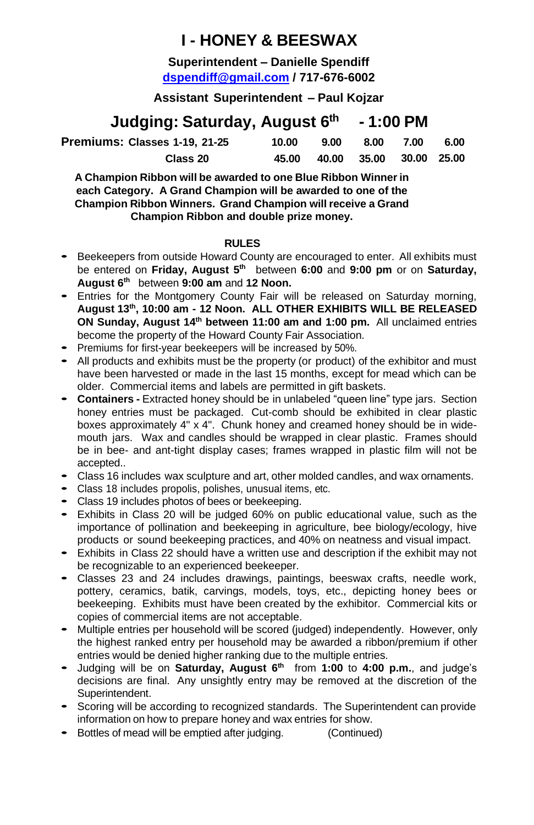## **I - HONEY & BEESWAX**

**Superintendent – Danielle Spendiff [dspendiff@gmail.com](mailto:dspendiff@gmail.com) / 717-676-6002**

**Assistant Superintendent – Paul Kojzar**

### **Judging: Saturday, August 6 th - 1:00 PM**

| Premiums: Classes 1-19, 21-25 | 10.00 | 9.00 | 8.00                    | 7.00 | 6.00 |
|-------------------------------|-------|------|-------------------------|------|------|
| Class 20                      | 45.00 |      | 40.00 35.00 30.00 25.00 |      |      |

**A Champion Ribbon will be awarded to one Blue Ribbon Winner in each Category. A Grand Champion will be awarded to one of the Champion Ribbon Winners. Grand Champion will receive a Grand Champion Ribbon and double prize money.**

#### **RULES**

- Beekeepers from outside Howard County are encouraged to enter. All exhibits must be entered on **Friday, August 5<sup>th</sup> between 6:00 and 9:00 pm** or on Saturday, **August 6 th** between **9:00 am** and **12 Noon.**
- Entries for the Montgomery County Fair will be released on Saturday morning, **August 13 th , 10:00 am - 12 Noon. ALL OTHER EXHIBITS WILL BE RELEASED ON Sunday, August 14<sup>th</sup> between 11:00 am and 1:00 pm.** All unclaimed entries become the property of the Howard County Fair Association.
- Premiums for first-year beekeepers will be increased by 50%.
- All products and exhibits must be the property (or product) of the exhibitor and must have been harvested or made in the last 15 months, except for mead which can be older. Commercial items and labels are permitted in gift baskets.
- **Containers -** Extracted honey should be in unlabeled "queen line" type jars. Section honey entries must be packaged. Cut-comb should be exhibited in clear plastic boxes approximately 4" x 4". Chunk honey and creamed honey should be in widemouth jars. Wax and candles should be wrapped in clear plastic. Frames should be in bee- and ant-tight display cases; frames wrapped in plastic film will not be accepted..
- Class <sup>16</sup> includes wax sculpture and art, other molded candles, and wax ornaments.
- Class <sup>18</sup> includes propolis, polishes, unusual items, etc.
- Class <sup>19</sup> includes photos of bees or beekeeping.
- Exhibits in Class 20 will be judged 60% on public educational value, such as the importance of pollination and beekeeping in agriculture, bee biology/ecology, hive products or sound beekeeping practices, and 40% on neatness and visual impact.
- Exhibits in Class 22 should have a written use and description if the exhibit may not be recognizable to an experienced beekeeper.
- Classes 23 and 24 includes drawings, paintings, beeswax crafts, needle work, pottery, ceramics, batik, carvings, models, toys, etc., depicting honey bees or beekeeping. Exhibits must have been created by the exhibitor. Commercial kits or copies of commercial items are not acceptable.
- Multiple entries per household will be scored (judged) independently. However, only the highest ranked entry per household may be awarded a ribbon/premium if other entries would be denied higher ranking due to the multiple entries.
- Judging will be on **Saturday, August 6 th** from **1:00** to **4:00 p.m.**, and judge's decisions are final. Any unsightly entry may be removed at the discretion of the Superintendent.
- Scoring will be according to recognized standards. The Superintendent can provide information on how to prepare honey and wax entries for show.
- Bottles of mead will be emptied after judging. (Continued)